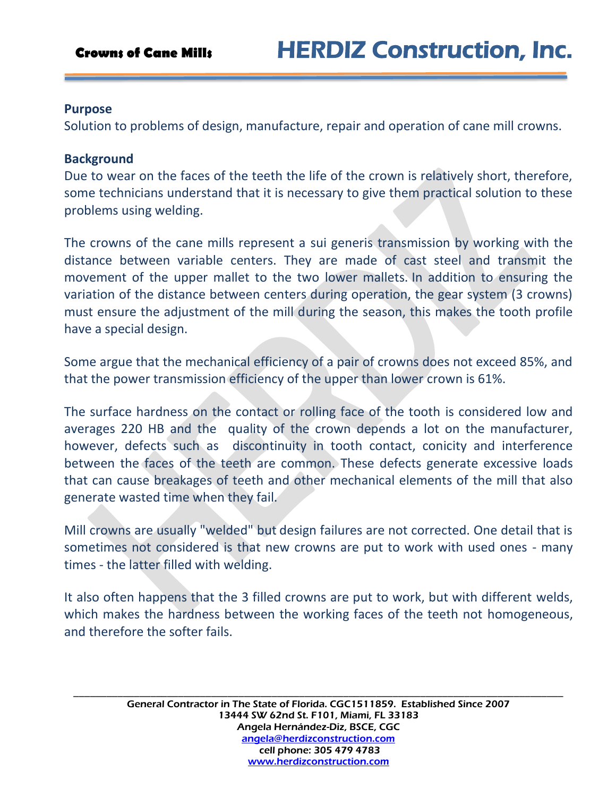### **Purpose**

Solution to problems of design, manufacture, repair and operation of cane mill crowns.

## **Background**

Due to wear on the faces of the teeth the life of the crown is relatively short, therefore, some technicians understand that it is necessary to give them practical solution to these problems using welding.

The crowns of the cane mills represent a sui generis transmission by working with the distance between variable centers. They are made of cast steel and transmit the movement of the upper mallet to the two lower mallets. In addition to ensuring the variation of the distance between centers during operation, the gear system (3 crowns) must ensure the adjustment of the mill during the season, this makes the tooth profile have a special design.

Some argue that the mechanical efficiency of a pair of crowns does not exceed 85%, and that the power transmission efficiency of the upper than lower crown is 61%.

The surface hardness on the contact or rolling face of the tooth is considered low and averages 220 HB and the quality of the crown depends a lot on the manufacturer, however, defects such as discontinuity in tooth contact, conicity and interference between the faces of the teeth are common. These defects generate excessive loads that can cause breakages of teeth and other mechanical elements of the mill that also generate wasted time when they fail.

Mill crowns are usually "welded" but design failures are not corrected. One detail that is sometimes not considered is that new crowns are put to work with used ones - many times - the latter filled with welding.

It also often happens that the 3 filled crowns are put to work, but with different welds, which makes the hardness between the working faces of the teeth not homogeneous, and therefore the softer fails.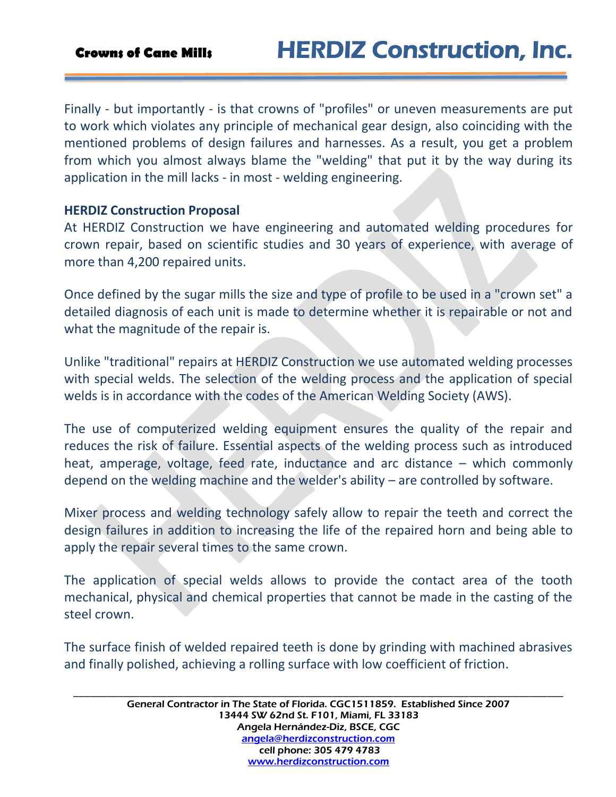# **Crowns of Cane Mills** HERDIZ Construction, Inc.

Finally - but importantly - is that crowns of "profiles" or uneven measurements are put to work which violates any principle of mechanical gear design, also coinciding with the mentioned problems of design failures and harnesses. As a result, you get a problem from which you almost always blame the "welding" that put it by the way during its application in the mill lacks - in most - welding engineering.

### **HERDIZ Construction Proposal**

At HERDIZ Construction we have engineering and automated welding procedures for crown repair, based on scientific studies and 30 years of experience, with average of more than 4,200 repaired units.

Once defined by the sugar mills the size and type of profile to be used in a "crown set" a detailed diagnosis of each unit is made to determine whether it is repairable or not and what the magnitude of the repair is.

Unlike "traditional" repairs at HERDIZ Construction we use automated welding processes with special welds. The selection of the welding process and the application of special welds is in accordance with the codes of the American Welding Society (AWS).

The use of computerized welding equipment ensures the quality of the repair and reduces the risk of failure. Essential aspects of the welding process such as introduced heat, amperage, voltage, feed rate, inductance and arc distance – which commonly depend on the welding machine and the welder's ability – are controlled by software.

Mixer process and welding technology safely allow to repair the teeth and correct the design failures in addition to increasing the life of the repaired horn and being able to apply the repair several times to the same crown.

The application of special welds allows to provide the contact area of the tooth mechanical, physical and chemical properties that cannot be made in the casting of the steel crown.

The surface finish of welded repaired teeth is done by grinding with machined abrasives and finally polished, achieving a rolling surface with low coefficient of friction.